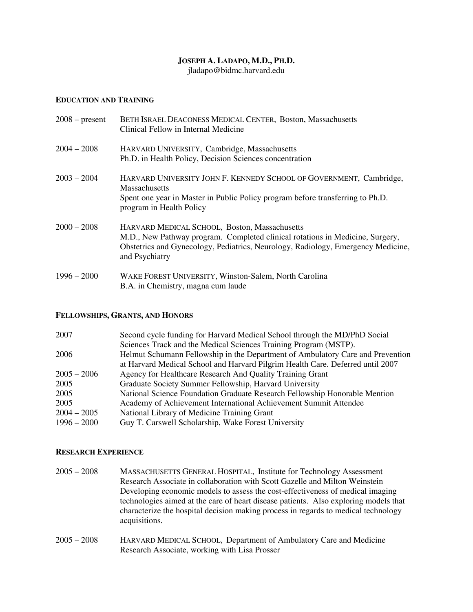## **JOSEPH A. LADAPO, M.D., PH.D.**

jladapo@bidmc.harvard.edu

#### **EDUCATION AND TRAINING**

| $2008$ – present | BETH ISRAEL DEACONESS MEDICAL CENTER, Boston, Massachusetts<br>Clinical Fellow in Internal Medicine                                                                                                                                  |
|------------------|--------------------------------------------------------------------------------------------------------------------------------------------------------------------------------------------------------------------------------------|
| $2004 - 2008$    | HARVARD UNIVERSITY, Cambridge, Massachusetts<br>Ph.D. in Health Policy, Decision Sciences concentration                                                                                                                              |
| $2003 - 2004$    | HARVARD UNIVERSITY JOHN F. KENNEDY SCHOOL OF GOVERNMENT, Cambridge,<br><b>Massachusetts</b><br>Spent one year in Master in Public Policy program before transferring to Ph.D.<br>program in Health Policy                            |
| $2000 - 2008$    | HARVARD MEDICAL SCHOOL, Boston, Massachusetts<br>M.D., New Pathway program. Completed clinical rotations in Medicine, Surgery,<br>Obstetrics and Gynecology, Pediatrics, Neurology, Radiology, Emergency Medicine,<br>and Psychiatry |
| $1996 - 2000$    | WAKE FOREST UNIVERSITY, Winston-Salem, North Carolina<br>B.A. in Chemistry, magna cum laude                                                                                                                                          |

#### **FELLOWSHIPS, GRANTS, AND HONORS**

| 2007          | Second cycle funding for Harvard Medical School through the MD/PhD Social      |
|---------------|--------------------------------------------------------------------------------|
|               | Sciences Track and the Medical Sciences Training Program (MSTP).               |
| 2006          | Helmut Schumann Fellowship in the Department of Ambulatory Care and Prevention |
|               | at Harvard Medical School and Harvard Pilgrim Health Care. Deferred until 2007 |
| $2005 - 2006$ | Agency for Healthcare Research And Quality Training Grant                      |
| 2005          | Graduate Society Summer Fellowship, Harvard University                         |
| 2005          | National Science Foundation Graduate Research Fellowship Honorable Mention     |
| 2005          | Academy of Achievement International Achievement Summit Attendee               |
| $2004 - 2005$ | National Library of Medicine Training Grant                                    |
| $1996 - 2000$ | Guy T. Carswell Scholarship, Wake Forest University                            |

## **RESEARCH EXPERIENCE**

- 2005 2008 MASSACHUSETTS GENERAL HOSPITAL, Institute for Technology Assessment Research Associate in collaboration with Scott Gazelle and Milton Weinstein Developing economic models to assess the cost-effectiveness of medical imaging technologies aimed at the care of heart disease patients. Also exploring models that characterize the hospital decision making process in regards to medical technology acquisitions.
- 2005 2008 HARVARD MEDICAL SCHOOL, Department of Ambulatory Care and Medicine Research Associate, working with Lisa Prosser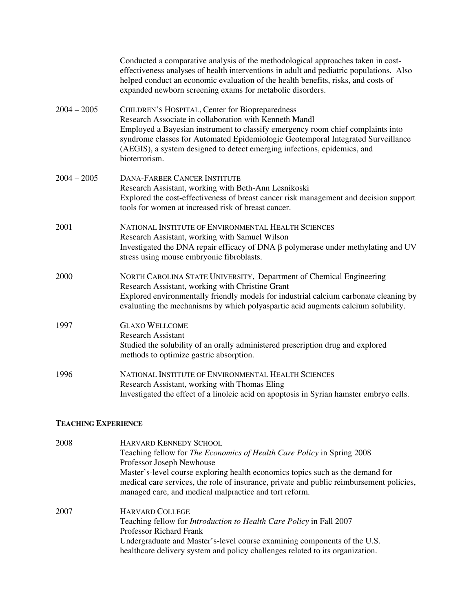|               | Conducted a comparative analysis of the methodological approaches taken in cost-<br>effectiveness analyses of health interventions in adult and pediatric populations. Also<br>helped conduct an economic evaluation of the health benefits, risks, and costs of<br>expanded newborn screening exams for metabolic disorders.                                                 |
|---------------|-------------------------------------------------------------------------------------------------------------------------------------------------------------------------------------------------------------------------------------------------------------------------------------------------------------------------------------------------------------------------------|
| $2004 - 2005$ | CHILDREN'S HOSPITAL, Center for Biopreparedness<br>Research Associate in collaboration with Kenneth Mandl<br>Employed a Bayesian instrument to classify emergency room chief complaints into<br>syndrome classes for Automated Epidemiologic Geotemporal Integrated Surveillance<br>(AEGIS), a system designed to detect emerging infections, epidemics, and<br>bioterrorism. |
| $2004 - 2005$ | <b>DANA-FARBER CANCER INSTITUTE</b><br>Research Assistant, working with Beth-Ann Lesnikoski<br>Explored the cost-effectiveness of breast cancer risk management and decision support<br>tools for women at increased risk of breast cancer.                                                                                                                                   |
| 2001          | NATIONAL INSTITUTE OF ENVIRONMENTAL HEALTH SCIENCES<br>Research Assistant, working with Samuel Wilson<br>Investigated the DNA repair efficacy of DNA $\beta$ polymerase under methylating and UV<br>stress using mouse embryonic fibroblasts.                                                                                                                                 |
| 2000          | NORTH CAROLINA STATE UNIVERSITY, Department of Chemical Engineering<br>Research Assistant, working with Christine Grant<br>Explored environmentally friendly models for industrial calcium carbonate cleaning by<br>evaluating the mechanisms by which polyaspartic acid augments calcium solubility.                                                                         |
| 1997          | <b>GLAXO WELLCOME</b><br><b>Research Assistant</b><br>Studied the solubility of an orally administered prescription drug and explored<br>methods to optimize gastric absorption.                                                                                                                                                                                              |
| 1996          | NATIONAL INSTITUTE OF ENVIRONMENTAL HEALTH SCIENCES<br>Research Assistant, working with Thomas Eling<br>Investigated the effect of a linoleic acid on apoptosis in Syrian hamster embryo cells.                                                                                                                                                                               |

## **TEACHING EXPERIENCE**

| 2008 | <b>HARVARD KENNEDY SCHOOL</b>                                                            |
|------|------------------------------------------------------------------------------------------|
|      | Teaching fellow for <i>The Economics of Health Care Policy</i> in Spring 2008            |
|      | Professor Joseph Newhouse                                                                |
|      | Master's-level course exploring health economics topics such as the demand for           |
|      | medical care services, the role of insurance, private and public reimbursement policies, |
|      | managed care, and medical malpractice and tort reform.                                   |
| 2007 | <b>HARVARD COLLEGE</b>                                                                   |
|      | Teaching fellow for <i>Introduction to Health Care Policy</i> in Fall 2007               |
|      | Professor Richard Frank                                                                  |
|      | Undergraduate and Master's-level course examining components of the U.S.                 |
|      | healthcare delivery system and policy challenges related to its organization.            |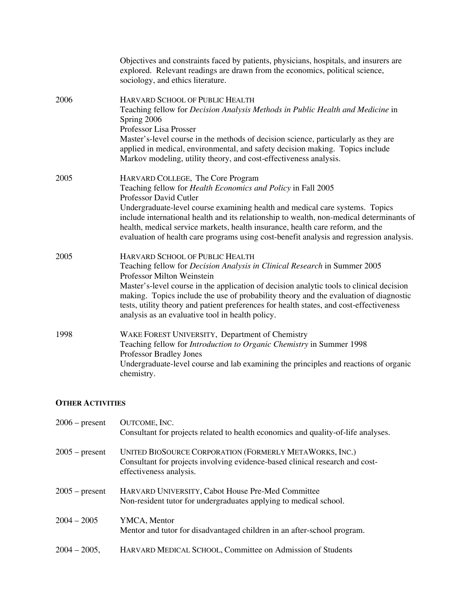|      | Objectives and constraints faced by patients, physicians, hospitals, and insurers are<br>explored. Relevant readings are drawn from the economics, political science,<br>sociology, and ethics literature.                                                                                                                                                                                                                                                                                  |
|------|---------------------------------------------------------------------------------------------------------------------------------------------------------------------------------------------------------------------------------------------------------------------------------------------------------------------------------------------------------------------------------------------------------------------------------------------------------------------------------------------|
| 2006 | HARVARD SCHOOL OF PUBLIC HEALTH<br>Teaching fellow for <i>Decision Analysis Methods in Public Health and Medicine</i> in<br>Spring 2006<br>Professor Lisa Prosser<br>Master's-level course in the methods of decision science, particularly as they are<br>applied in medical, environmental, and safety decision making. Topics include<br>Markov modeling, utility theory, and cost-effectiveness analysis.                                                                               |
| 2005 | HARVARD COLLEGE, The Core Program<br>Teaching fellow for <i>Health Economics and Policy</i> in Fall 2005<br>Professor David Cutler<br>Undergraduate-level course examining health and medical care systems. Topics<br>include international health and its relationship to wealth, non-medical determinants of<br>health, medical service markets, health insurance, health care reform, and the<br>evaluation of health care programs using cost-benefit analysis and regression analysis. |
| 2005 | HARVARD SCHOOL OF PUBLIC HEALTH<br>Teaching fellow for <i>Decision Analysis in Clinical Research</i> in Summer 2005<br>Professor Milton Weinstein<br>Master's-level course in the application of decision analytic tools to clinical decision<br>making. Topics include the use of probability theory and the evaluation of diagnostic<br>tests, utility theory and patient preferences for health states, and cost-effectiveness<br>analysis as an evaluative tool in health policy.       |
| 1998 | WAKE FOREST UNIVERSITY, Department of Chemistry<br>Teaching fellow for Introduction to Organic Chemistry in Summer 1998<br><b>Professor Bradley Jones</b><br>Undergraduate-level course and lab examining the principles and reactions of organic<br>chemistry.                                                                                                                                                                                                                             |

### **OTHER ACTIVITIES**

| $2006$ – present | OUTCOME, INC.<br>Consultant for projects related to health economics and quality-of-life analyses.                                                                 |
|------------------|--------------------------------------------------------------------------------------------------------------------------------------------------------------------|
| $2005$ – present | UNITED BIOSOURCE CORPORATION (FORMERLY METAWORKS, INC.)<br>Consultant for projects involving evidence-based clinical research and cost-<br>effectiveness analysis. |
| $2005$ – present | HARVARD UNIVERSITY, Cabot House Pre-Med Committee<br>Non-resident tutor for undergraduates applying to medical school.                                             |
| $2004 - 2005$    | YMCA, Mentor<br>Mentor and tutor for disadvantaged children in an after-school program.                                                                            |
| $2004 - 2005$ ,  | HARVARD MEDICAL SCHOOL, Committee on Admission of Students                                                                                                         |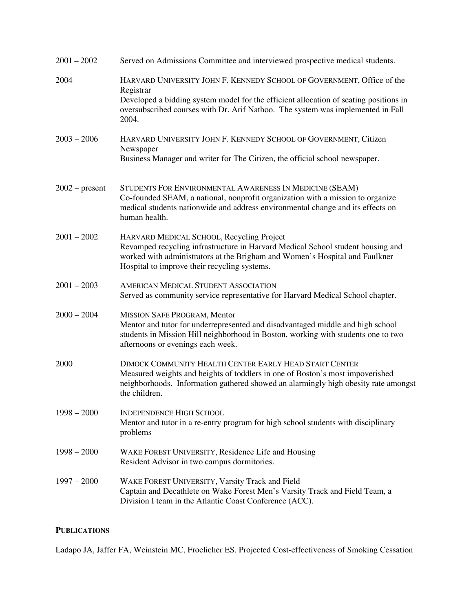| $2001 - 2002$    | Served on Admissions Committee and interviewed prospective medical students.                                                                                                                                                                                    |
|------------------|-----------------------------------------------------------------------------------------------------------------------------------------------------------------------------------------------------------------------------------------------------------------|
| 2004             | HARVARD UNIVERSITY JOHN F. KENNEDY SCHOOL OF GOVERNMENT, Office of the<br>Registrar<br>Developed a bidding system model for the efficient allocation of seating positions in<br>oversubscribed courses with Dr. Arif Nathoo. The system was implemented in Fall |
| $2003 - 2006$    | 2004.<br>HARVARD UNIVERSITY JOHN F. KENNEDY SCHOOL OF GOVERNMENT, Citizen<br>Newspaper                                                                                                                                                                          |
|                  | Business Manager and writer for The Citizen, the official school newspaper.                                                                                                                                                                                     |
| $2002$ – present | STUDENTS FOR ENVIRONMENTAL AWARENESS IN MEDICINE (SEAM)<br>Co-founded SEAM, a national, nonprofit organization with a mission to organize<br>medical students nationwide and address environmental change and its effects on<br>human health.                   |
| $2001 - 2002$    | HARVARD MEDICAL SCHOOL, Recycling Project<br>Revamped recycling infrastructure in Harvard Medical School student housing and<br>worked with administrators at the Brigham and Women's Hospital and Faulkner<br>Hospital to improve their recycling systems.     |
| $2001 - 2003$    | <b>AMERICAN MEDICAL STUDENT ASSOCIATION</b><br>Served as community service representative for Harvard Medical School chapter.                                                                                                                                   |
| $2000 - 2004$    | MISSION SAFE PROGRAM, Mentor<br>Mentor and tutor for underrepresented and disadvantaged middle and high school<br>students in Mission Hill neighborhood in Boston, working with students one to two<br>afternoons or evenings each week.                        |
| 2000             | DIMOCK COMMUNITY HEALTH CENTER EARLY HEAD START CENTER<br>Measured weights and heights of toddlers in one of Boston's most impoverished<br>neighborhoods. Information gathered showed an alarmingly high obesity rate amongst<br>the children.                  |
| $1998 - 2000$    | <b>INDEPENDENCE HIGH SCHOOL</b><br>Mentor and tutor in a re-entry program for high school students with disciplinary<br>problems                                                                                                                                |
| $1998 - 2000$    | WAKE FOREST UNIVERSITY, Residence Life and Housing<br>Resident Advisor in two campus dormitories.                                                                                                                                                               |
| $1997 - 2000$    | WAKE FOREST UNIVERSITY, Varsity Track and Field<br>Captain and Decathlete on Wake Forest Men's Varsity Track and Field Team, a<br>Division I team in the Atlantic Coast Conference (ACC).                                                                       |

# **PUBLICATIONS**

Ladapo JA, Jaffer FA, Weinstein MC, Froelicher ES. Projected Cost-effectiveness of Smoking Cessation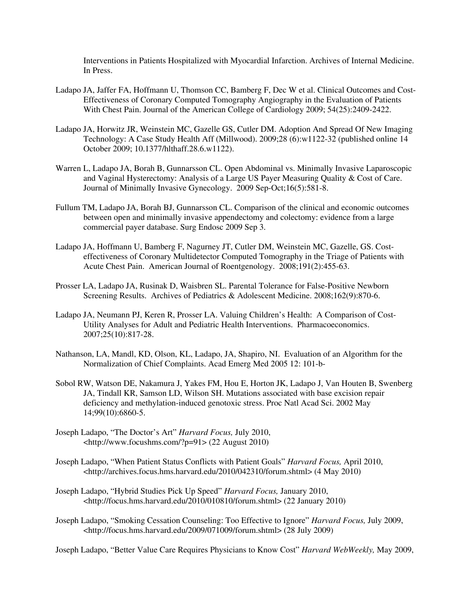Interventions in Patients Hospitalized with Myocardial Infarction. Archives of Internal Medicine. In Press.

- Ladapo JA, Jaffer FA, Hoffmann U, Thomson CC, Bamberg F, Dec W et al. Clinical Outcomes and Cost- Effectiveness of Coronary Computed Tomography Angiography in the Evaluation of Patients With Chest Pain. Journal of the American College of Cardiology 2009; 54(25):2409-2422.
- Ladapo JA, Horwitz JR, Weinstein MC, Gazelle GS, Cutler DM. Adoption And Spread Of New Imaging Technology: A Case Study Health Aff (Millwood). 2009;28 (6):w1122-32 (published online 14 October 2009; 10.1377/hlthaff.28.6.w1122).
- Warren L, Ladapo JA, Borah B, Gunnarsson CL. Open Abdominal vs. Minimally Invasive Laparoscopic and Vaginal Hysterectomy: Analysis of a Large US Payer Measuring Quality & Cost of Care. Journal of Minimally Invasive Gynecology. 2009 Sep-Oct;16(5):581-8.
- Fullum TM, Ladapo JA, Borah BJ, Gunnarsson CL. Comparison of the clinical and economic outcomes between open and minimally invasive appendectomy and colectomy: evidence from a large commercial payer database. Surg Endosc 2009 Sep 3.
- Ladapo JA, Hoffmann U, Bamberg F, Nagurney JT, Cutler DM, Weinstein MC, Gazelle, GS. Cost effectiveness of Coronary Multidetector Computed Tomography in the Triage of Patients with Acute Chest Pain. American Journal of Roentgenology. 2008;191(2):455-63.
- Prosser LA, Ladapo JA, Rusinak D, Waisbren SL. Parental Tolerance for False-Positive Newborn Screening Results. Archives of Pediatrics & Adolescent Medicine. 2008;162(9):870-6.
- Ladapo JA, Neumann PJ, Keren R, Prosser LA. Valuing Children's Health: A Comparison of Cost- Utility Analyses for Adult and Pediatric Health Interventions. Pharmacoeconomics. 2007;25(10):817-28.
- Nathanson, LA, Mandl, KD, Olson, KL, Ladapo, JA, Shapiro, NI. Evaluation of an Algorithm for the Normalization of Chief Complaints. Acad Emerg Med 2005 12: 101-b-
- Sobol RW, Watson DE, Nakamura J, Yakes FM, Hou E, Horton JK, Ladapo J, Van Houten B, Swenberg JA, Tindall KR, Samson LD, Wilson SH. Mutations associated with base excision repair deficiency and methylation-induced genotoxic stress. Proc Natl Acad Sci. 2002 May 14;99(10):6860-5.
- Joseph Ladapo, "The Doctor's Art" *Harvard Focus,* July 2010, <http://www.focushms.com/?p=91> (22 August 2010)
- Joseph Ladapo, "When Patient Status Conflicts with Patient Goals" *Harvard Focus,* April 2010, <http://archives.focus.hms.harvard.edu/2010/042310/forum.shtml> (4 May 2010)
- Joseph Ladapo, "Hybrid Studies Pick Up Speed" *Harvard Focus,* January 2010, <http://focus.hms.harvard.edu/2010/010810/forum.shtml> (22 January 2010)
- Joseph Ladapo, "Smoking Cessation Counseling: Too Effective to Ignore" *Harvard Focus,* July 2009, <http://focus.hms.harvard.edu/2009/071009/forum.shtml> (28 July 2009)

Joseph Ladapo, "Better Value Care Requires Physicians to Know Cost" *Harvard WebWeekly,* May 2009,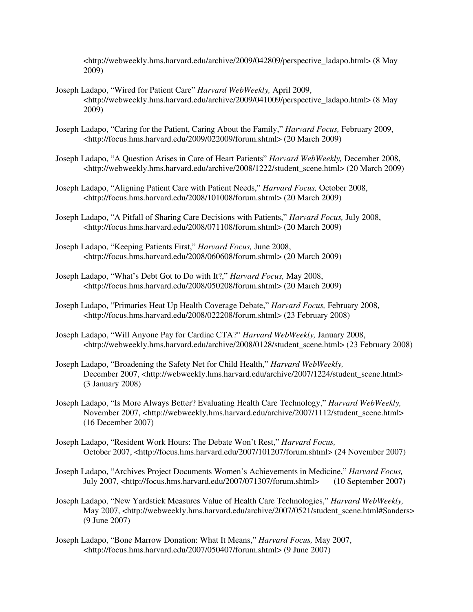<http://webweekly.hms.harvard.edu/archive/2009/042809/perspective\_ladapo.html> (8 May 2009)

- Joseph Ladapo, "Wired for Patient Care" *Harvard WebWeekly,* April 2009, <http://webweekly.hms.harvard.edu/archive/2009/041009/perspective\_ladapo.html> (8 May 2009)
- Joseph Ladapo, "Caring for the Patient, Caring About the Family," *Harvard Focus,* February 2009, <http://focus.hms.harvard.edu/2009/022009/forum.shtml> (20 March 2009)
- Joseph Ladapo, "A Question Arises in Care of Heart Patients" *Harvard WebWeekly,* December 2008, <http://webweekly.hms.harvard.edu/archive/2008/1222/student\_scene.html> (20 March 2009)
- Joseph Ladapo, "Aligning Patient Care with Patient Needs," *Harvard Focus,* October 2008, <http://focus.hms.harvard.edu/2008/101008/forum.shtml> (20 March 2009)
- Joseph Ladapo, "A Pitfall of Sharing Care Decisions with Patients," *Harvard Focus,* July 2008, <http://focus.hms.harvard.edu/2008/071108/forum.shtml> (20 March 2009)
- Joseph Ladapo, "Keeping Patients First," *Harvard Focus,* June 2008, <http://focus.hms.harvard.edu/2008/060608/forum.shtml> (20 March 2009)
- Joseph Ladapo, "What's Debt Got to Do with It?," *Harvard Focus,* May 2008, <http://focus.hms.harvard.edu/2008/050208/forum.shtml> (20 March 2009)
- Joseph Ladapo, "Primaries Heat Up Health Coverage Debate," *Harvard Focus,* February 2008, <http://focus.hms.harvard.edu/2008/022208/forum.shtml> (23 February 2008)
- Joseph Ladapo, "Will Anyone Pay for Cardiac CTA?" *Harvard WebWeekly,* January 2008, <http://webweekly.hms.harvard.edu/archive/2008/0128/student\_scene.html> (23 February 2008)
- Joseph Ladapo, "Broadening the Safety Net for Child Health," *Harvard WebWeekly,*  December 2007, <http://webweekly.hms.harvard.edu/archive/2007/1224/student\_scene.html> (3 January 2008)
- Joseph Ladapo, "Is More Always Better? Evaluating Health Care Technology," *Harvard WebWeekly,* November 2007, <http://webweekly.hms.harvard.edu/archive/2007/1112/student\_scene.html> (16 December 2007)
- Joseph Ladapo, "Resident Work Hours: The Debate Won't Rest," *Harvard Focus,* October 2007, <http://focus.hms.harvard.edu/2007/101207/forum.shtml> (24 November 2007)
- Joseph Ladapo, "Archives Project Documents Women's Achievements in Medicine," *Harvard Focus,* July 2007, <http://focus.hms.harvard.edu/2007/071307/forum.shtml> (10 September 2007)
- Joseph Ladapo, "New Yardstick Measures Value of Health Care Technologies," *Harvard WebWeekly,* May 2007, <http://webweekly.hms.harvard.edu/archive/2007/0521/student\_scene.html#Sanders> (9 June 2007)
- Joseph Ladapo, "Bone Marrow Donation: What It Means," *Harvard Focus,* May 2007, <http://focus.hms.harvard.edu/2007/050407/forum.shtml> (9 June 2007)